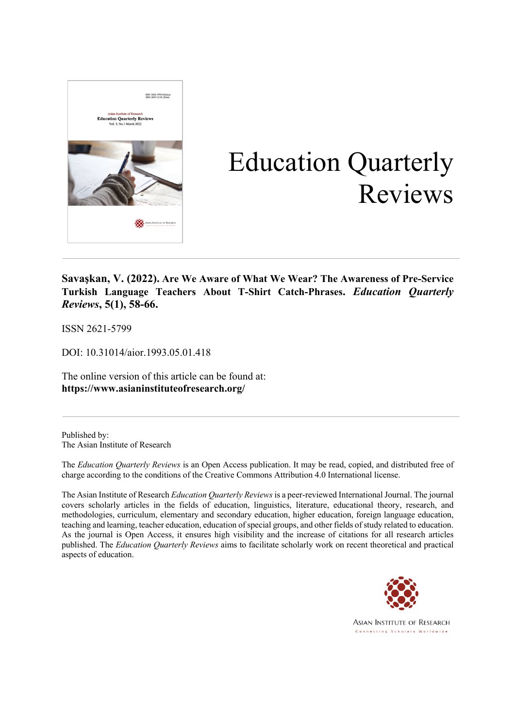

# Education Quarterly Reviews

**Savaşkan, V. (2022). Are We Aware of What We Wear? The Awareness of Pre-Service Turkish Language Teachers About T-Shirt Catch-Phrases.** *Education Quarterly Reviews***, 5(1), 58-66.**

ISSN 2621-5799

DOI: 10.31014/aior.1993.05.01.418

The online version of this article can be found at: **https://www.asianinstituteofresearch.org/**

Published by: The Asian Institute of Research

The *Education Quarterly Reviews* is an Open Access publication. It may be read, copied, and distributed free of charge according to the conditions of the Creative Commons Attribution 4.0 International license.

The Asian Institute of Research *Education Quarterly Reviews* is a peer-reviewed International Journal. The journal covers scholarly articles in the fields of education, linguistics, literature, educational theory, research, and methodologies, curriculum, elementary and secondary education, higher education, foreign language education, teaching and learning, teacher education, education of special groups, and other fields of study related to education. As the journal is Open Access, it ensures high visibility and the increase of citations for all research articles published. The *Education Quarterly Reviews* aims to facilitate scholarly work on recent theoretical and practical aspects of education.



**ASIAN INSTITUTE OF RESEARCH** Connecting Scholars Worldwide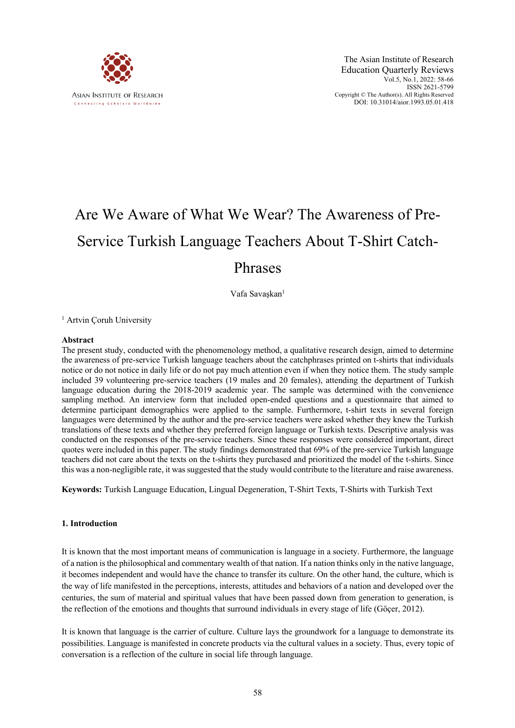

# Are We Aware of What We Wear? The Awareness of Pre-Service Turkish Language Teachers About T-Shirt Catch-Phrases

Vafa Savaşkan<sup>1</sup>

<sup>1</sup> Artvin Coruh University

#### **Abstract**

The present study, conducted with the phenomenology method, a qualitative research design, aimed to determine the awareness of pre-service Turkish language teachers about the catchphrases printed on t-shirts that individuals notice or do not notice in daily life or do not pay much attention even if when they notice them. The study sample included 39 volunteering pre-service teachers (19 males and 20 females), attending the department of Turkish language education during the 2018-2019 academic year. The sample was determined with the convenience sampling method. An interview form that included open-ended questions and a questionnaire that aimed to determine participant demographics were applied to the sample. Furthermore, t-shirt texts in several foreign languages were determined by the author and the pre-service teachers were asked whether they knew the Turkish translations of these texts and whether they preferred foreign language or Turkish texts. Descriptive analysis was conducted on the responses of the pre-service teachers. Since these responses were considered important, direct quotes were included in this paper. The study findings demonstrated that 69% of the pre-service Turkish language teachers did not care about the texts on the t-shirts they purchased and prioritized the model of the t-shirts. Since this was a non-negligible rate, it was suggested that the study would contribute to the literature and raise awareness.

**Keywords:** Turkish Language Education, Lingual Degeneration, T-Shirt Texts, T-Shirts with Turkish Text

#### **1. Introduction**

It is known that the most important means of communication is language in a society. Furthermore, the language of a nation is the philosophical and commentary wealth of that nation. If a nation thinks only in the native language, it becomes independent and would have the chance to transfer its culture. On the other hand, the culture, which is the way of life manifested in the perceptions, interests, attitudes and behaviors of a nation and developed over the centuries, the sum of material and spiritual values that have been passed down from generation to generation, is the reflection of the emotions and thoughts that surround individuals in every stage of life (Göçer, 2012).

It is known that language is the carrier of culture. Culture lays the groundwork for a language to demonstrate its possibilities. Language is manifested in concrete products via the cultural values in a society. Thus, every topic of conversation is a reflection of the culture in social life through language.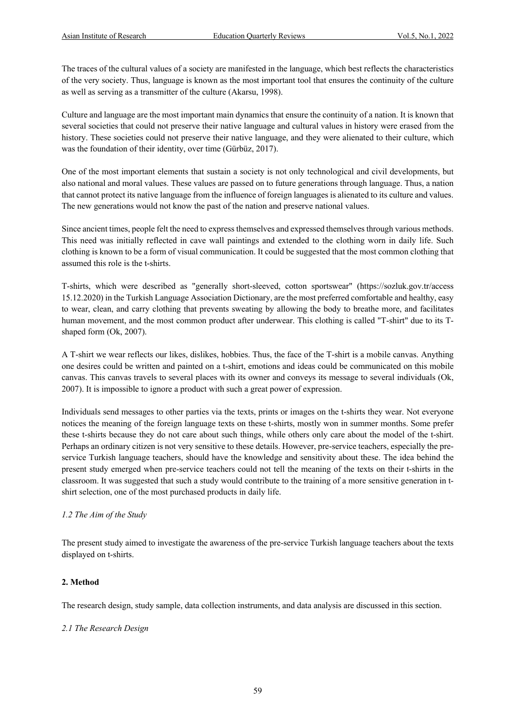The traces of the cultural values of a society are manifested in the language, which best reflects the characteristics of the very society. Thus, language is known as the most important tool that ensures the continuity of the culture as well as serving as a transmitter of the culture (Akarsu, 1998).

Culture and language are the most important main dynamics that ensure the continuity of a nation. It is known that several societies that could not preserve their native language and cultural values in history were erased from the history. These societies could not preserve their native language, and they were alienated to their culture, which was the foundation of their identity, over time (Gürbüz, 2017).

One of the most important elements that sustain a society is not only technological and civil developments, but also national and moral values. These values are passed on to future generations through language. Thus, a nation that cannot protect its native language from the influence of foreign languages is alienated to its culture and values. The new generations would not know the past of the nation and preserve national values.

Since ancient times, people felt the need to express themselves and expressed themselves through various methods. This need was initially reflected in cave wall paintings and extended to the clothing worn in daily life. Such clothing is known to be a form of visual communication. It could be suggested that the most common clothing that assumed this role is the t-shirts.

T-shirts, which were described as "generally short-sleeved, cotton sportswear" (https://sozluk.gov.tr/access 15.12.2020) in the Turkish Language Association Dictionary, are the most preferred comfortable and healthy, easy to wear, clean, and carry clothing that prevents sweating by allowing the body to breathe more, and facilitates human movement, and the most common product after underwear. This clothing is called "T-shirt" due to its Tshaped form (Ok, 2007).

A T-shirt we wear reflects our likes, dislikes, hobbies. Thus, the face of the T-shirt is a mobile canvas. Anything one desires could be written and painted on a t-shirt, emotions and ideas could be communicated on this mobile canvas. This canvas travels to several places with its owner and conveys its message to several individuals (Ok, 2007). It is impossible to ignore a product with such a great power of expression.

Individuals send messages to other parties via the texts, prints or images on the t-shirts they wear. Not everyone notices the meaning of the foreign language texts on these t-shirts, mostly won in summer months. Some prefer these t-shirts because they do not care about such things, while others only care about the model of the t-shirt. Perhaps an ordinary citizen is not very sensitive to these details. However, pre-service teachers, especially the preservice Turkish language teachers, should have the knowledge and sensitivity about these. The idea behind the present study emerged when pre-service teachers could not tell the meaning of the texts on their t-shirts in the classroom. It was suggested that such a study would contribute to the training of a more sensitive generation in tshirt selection, one of the most purchased products in daily life.

# *1.2 The Aim of the Study*

The present study aimed to investigate the awareness of the pre-service Turkish language teachers about the texts displayed on t-shirts.

# **2. Method**

The research design, study sample, data collection instruments, and data analysis are discussed in this section.

#### *2.1 The Research Design*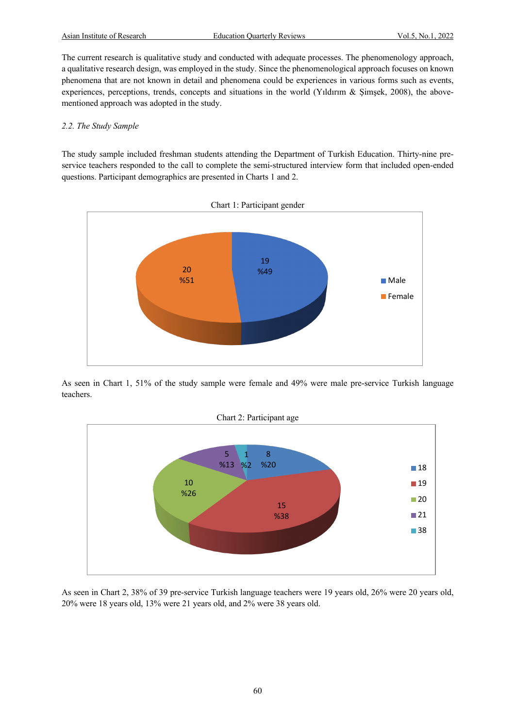The current research is qualitative study and conducted with adequate processes. The phenomenology approach, a qualitative research design, was employed in the study. Since the phenomenological approach focuses on known phenomena that are not known in detail and phenomena could be experiences in various forms such as events, experiences, perceptions, trends, concepts and situations in the world (Yıldırım & Şimşek, 2008), the abovementioned approach was adopted in the study.

#### *2.2. The Study Sample*

The study sample included freshman students attending the Department of Turkish Education. Thirty-nine preservice teachers responded to the call to complete the semi-structured interview form that included open-ended questions. Participant demographics are presented in Charts 1 and 2.



As seen in Chart 1, 51% of the study sample were female and 49% were male pre-service Turkish language teachers.



As seen in Chart 2, 38% of 39 pre-service Turkish language teachers were 19 years old, 26% were 20 years old, 20% were 18 years old, 13% were 21 years old, and 2% were 38 years old.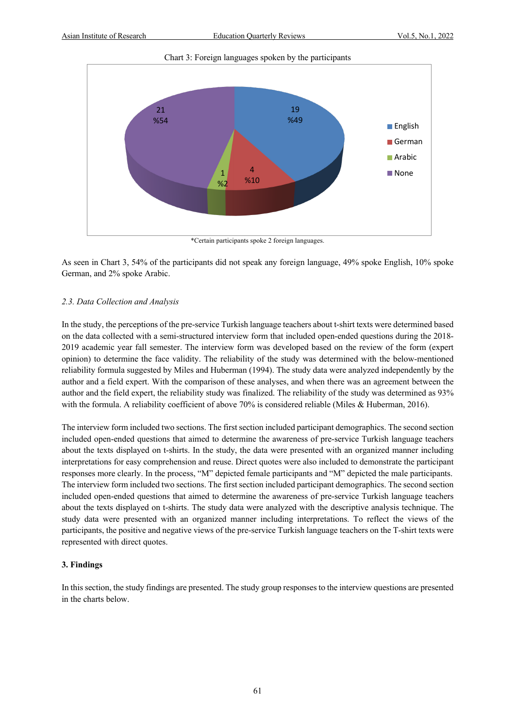Chart 3: Foreign languages spoken by the participants



\*Certain participants spoke 2 foreign languages.

As seen in Chart 3, 54% of the participants did not speak any foreign language, 49% spoke English, 10% spoke German, and 2% spoke Arabic.

# *2.3. Data Collection and Analysis*

In the study, the perceptions of the pre-service Turkish language teachers about t-shirt texts were determined based on the data collected with a semi-structured interview form that included open-ended questions during the 2018- 2019 academic year fall semester. The interview form was developed based on the review of the form (expert opinion) to determine the face validity. The reliability of the study was determined with the below-mentioned reliability formula suggested by Miles and Huberman (1994). The study data were analyzed independently by the author and a field expert. With the comparison of these analyses, and when there was an agreement between the author and the field expert, the reliability study was finalized. The reliability of the study was determined as 93% with the formula. A reliability coefficient of above 70% is considered reliable (Miles & Huberman, 2016).

The interview form included two sections. The first section included participant demographics. The second section included open-ended questions that aimed to determine the awareness of pre-service Turkish language teachers about the texts displayed on t-shirts. In the study, the data were presented with an organized manner including interpretations for easy comprehension and reuse. Direct quotes were also included to demonstrate the participant responses more clearly. In the process, "M" depicted female participants and "M" depicted the male participants. The interview form included two sections. The first section included participant demographics. The second section included open-ended questions that aimed to determine the awareness of pre-service Turkish language teachers about the texts displayed on t-shirts. The study data were analyzed with the descriptive analysis technique. The study data were presented with an organized manner including interpretations. To reflect the views of the participants, the positive and negative views of the pre-service Turkish language teachers on the T-shirt texts were represented with direct quotes.

# **3. Findings**

In this section, the study findings are presented. The study group responses to the interview questions are presented in the charts below.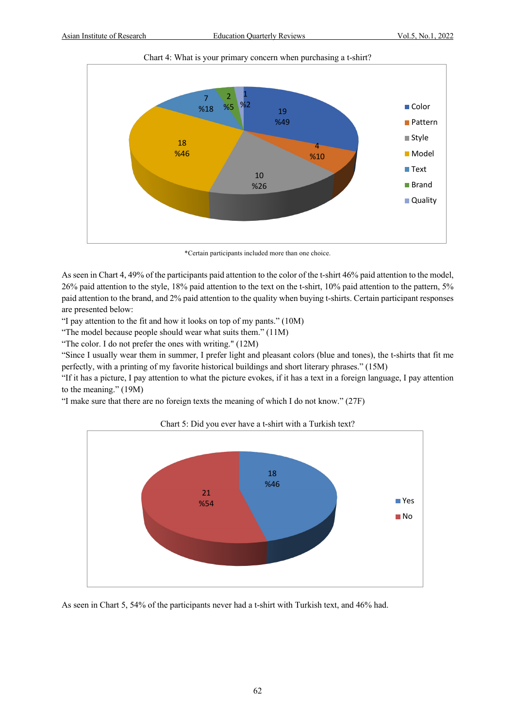

Chart 4: What is your primary concern when purchasing a t-shirt?

\*Certain participants included more than one choice.

As seen in Chart 4, 49% of the participants paid attention to the color of the t-shirt 46% paid attention to the model, 26% paid attention to the style, 18% paid attention to the text on the t-shirt, 10% paid attention to the pattern, 5% paid attention to the brand, and 2% paid attention to the quality when buying t-shirts. Certain participant responses are presented below:

"I pay attention to the fit and how it looks on top of my pants." (10M)

"The model because people should wear what suits them." (11M)

"The color. I do not prefer the ones with writing." (12M)

"Since I usually wear them in summer, I prefer light and pleasant colors (blue and tones), the t-shirts that fit me perfectly, with a printing of my favorite historical buildings and short literary phrases." (15M)

"If it has a picture, I pay attention to what the picture evokes, if it has a text in a foreign language, I pay attention to the meaning." (19M)

"I make sure that there are no foreign texts the meaning of which I do not know." (27F)



Chart 5: Did you ever have a t-shirt with a Turkish text?

As seen in Chart 5, 54% of the participants never had a t-shirt with Turkish text, and 46% had.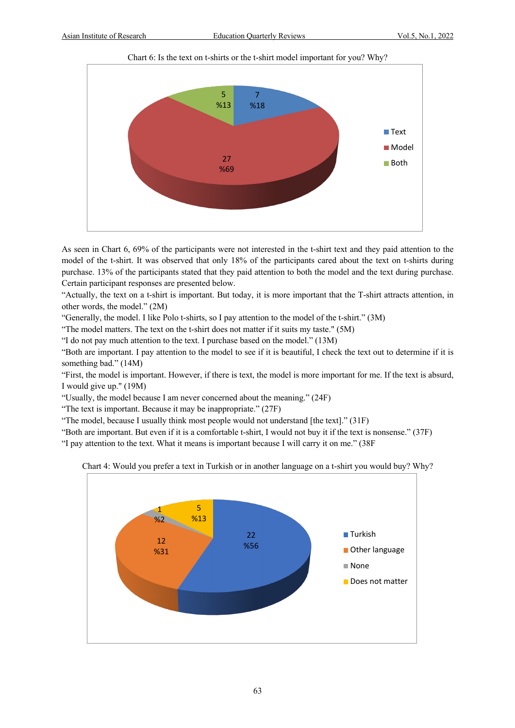

Chart 6: Is the text on t-shirts or the t-shirt model important for you? Why?

As seen in Chart 6, 69% of the participants were not interested in the t-shirt text and they paid attention to the model of the t-shirt. It was observed that only 18% of the participants cared about the text on t-shirts during purchase. 13% of the participants stated that they paid attention to both the model and the text during purchase. Certain participant responses are presented below.

"Actually, the text on a t-shirt is important. But today, it is more important that the T-shirt attracts attention, in other words, the model." (2M)

"Generally, the model. I like Polo t-shirts, so I pay attention to the model of the t-shirt." (3M)

"The model matters. The text on the t-shirt does not matter if it suits my taste." (5M)

"I do not pay much attention to the text. I purchase based on the model." (13M)

"Both are important. I pay attention to the model to see if it is beautiful, I check the text out to determine if it is something bad." (14M)

"First, the model is important. However, if there is text, the model is more important for me. If the text is absurd, I would give up." (19M)

"Usually, the model because I am never concerned about the meaning." (24F)

"The text is important. Because it may be inappropriate." (27F)

"The model, because I usually think most people would not understand [the text]." (31F)

"Both are important. But even if it is a comfortable t-shirt, I would not buy it if the text is nonsense." (37F)

"I pay attention to the text. What it means is important because I will carry it on me." (38F



Chart 4: Would you prefer a text in Turkish or in another language on a t-shirt you would buy? Why?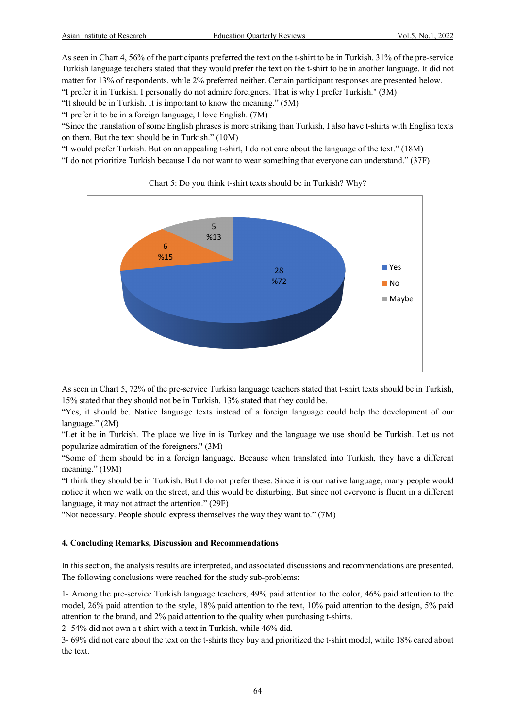As seen in Chart 4, 56% of the participants preferred the text on the t-shirt to be in Turkish. 31% of the pre-service Turkish language teachers stated that they would prefer the text on the t-shirt to be in another language. It did not matter for 13% of respondents, while 2% preferred neither. Certain participant responses are presented below.

"I prefer it in Turkish. I personally do not admire foreigners. That is why I prefer Turkish." (3M)

"It should be in Turkish. It is important to know the meaning." (5M)

"I prefer it to be in a foreign language, I love English. (7M)

"Since the translation of some English phrases is more striking than Turkish, I also have t-shirts with English texts on them. But the text should be in Turkish." (10M)

"I would prefer Turkish. But on an appealing t-shirt, I do not care about the language of the text." (18M)

"I do not prioritize Turkish because I do not want to wear something that everyone can understand." (37F)



Chart 5: Do you think t-shirt texts should be in Turkish? Why?

As seen in Chart 5, 72% of the pre-service Turkish language teachers stated that t-shirt texts should be in Turkish, 15% stated that they should not be in Turkish. 13% stated that they could be.

"Yes, it should be. Native language texts instead of a foreign language could help the development of our language." (2M)

"Let it be in Turkish. The place we live in is Turkey and the language we use should be Turkish. Let us not popularize admiration of the foreigners." (3M)

"Some of them should be in a foreign language. Because when translated into Turkish, they have a different meaning." (19M)

"I think they should be in Turkish. But I do not prefer these. Since it is our native language, many people would notice it when we walk on the street, and this would be disturbing. But since not everyone is fluent in a different language, it may not attract the attention." (29F)

"Not necessary. People should express themselves the way they want to." (7M)

# **4. Concluding Remarks, Discussion and Recommendations**

In this section, the analysis results are interpreted, and associated discussions and recommendations are presented. The following conclusions were reached for the study sub-problems:

1- Among the pre-service Turkish language teachers, 49% paid attention to the color, 46% paid attention to the model, 26% paid attention to the style, 18% paid attention to the text, 10% paid attention to the design, 5% paid attention to the brand, and 2% paid attention to the quality when purchasing t-shirts.

2- 54% did not own a t-shirt with a text in Turkish, while 46% did.

3- 69% did not care about the text on the t-shirts they buy and prioritized the t-shirt model, while 18% cared about the text.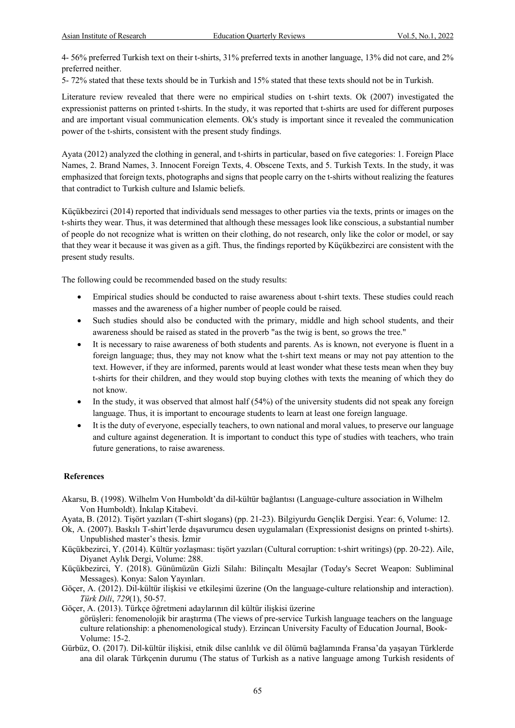4- 56% preferred Turkish text on their t-shirts, 31% preferred texts in another language, 13% did not care, and 2% preferred neither.

5- 72% stated that these texts should be in Turkish and 15% stated that these texts should not be in Turkish.

Literature review revealed that there were no empirical studies on t-shirt texts. Ok (2007) investigated the expressionist patterns on printed t-shirts. In the study, it was reported that t-shirts are used for different purposes and are important visual communication elements. Ok's study is important since it revealed the communication power of the t-shirts, consistent with the present study findings.

Ayata (2012) analyzed the clothing in general, and t-shirts in particular, based on five categories: 1. Foreign Place Names, 2. Brand Names, 3. Innocent Foreign Texts, 4. Obscene Texts, and 5. Turkish Texts. In the study, it was emphasized that foreign texts, photographs and signs that people carry on the t-shirts without realizing the features that contradict to Turkish culture and Islamic beliefs.

Küçükbezirci (2014) reported that individuals send messages to other parties via the texts, prints or images on the t-shirts they wear. Thus, it was determined that although these messages look like conscious, a substantial number of people do not recognize what is written on their clothing, do not research, only like the color or model, or say that they wear it because it was given as a gift. Thus, the findings reported by Küçükbezirci are consistent with the present study results.

The following could be recommended based on the study results:

- Empirical studies should be conducted to raise awareness about t-shirt texts. These studies could reach masses and the awareness of a higher number of people could be raised.
- Such studies should also be conducted with the primary, middle and high school students, and their awareness should be raised as stated in the proverb "as the twig is bent, so grows the tree."
- It is necessary to raise awareness of both students and parents. As is known, not everyone is fluent in a foreign language; thus, they may not know what the t-shirt text means or may not pay attention to the text. However, if they are informed, parents would at least wonder what these tests mean when they buy t-shirts for their children, and they would stop buying clothes with texts the meaning of which they do not know.
- In the study, it was observed that almost half (54%) of the university students did not speak any foreign language. Thus, it is important to encourage students to learn at least one foreign language.
- It is the duty of everyone, especially teachers, to own national and moral values, to preserve our language and culture against degeneration. It is important to conduct this type of studies with teachers, who train future generations, to raise awareness.

#### **References**

- Akarsu, B. (1998). Wilhelm Von Humboldt'da dil-kültür bağlantısı (Language-culture association in Wilhelm Von Humboldt). İnkılap Kitabevi.
- Ayata, B. (2012). Tişört yazıları (T-shirt slogans) (pp. 21-23). Bilgiyurdu Gençlik Dergisi. Year: 6, Volume: 12.
- Ok, A. (2007). Baskılı T-shirt'lerde dışavurumcu desen uygulamaları (Expressionist designs on printed t-shirts). Unpublished master's thesis. İzmir
- Küçükbezirci, Y. (2014). Kültür yozlaşması: tişört yazıları (Cultural corruption: t-shirt writings) (pp. 20-22). Aile, Diyanet Aylık Dergi, Volume: 288.
- Küçükbezirci, Y. (2018). Günümüzün Gizli Silahı: Bilinçaltı Mesajlar (Today's Secret Weapon: Subliminal Messages). Konya: Salon Yayınları.
- Göçer, A. (2012). Dil-kültür ilişkisi ve etkileşimi üzerine (On the language-culture relationship and interaction). *Türk Dili*, *729*(1), 50-57.

Göçer, A. (2013). Türkçe öğretmeni adaylarının dil kültür ilişkisi üzerine görüşleri: fenomenolojik bir araştırma (The views of pre-service Turkish language teachers on the language culture relationship: a phenomenological study). Erzincan University Faculty of Education Journal, Book-Volume: 15-2.

Gürbüz, O. (2017). Dil-kültür ilişkisi, etnik dilse canlılık ve dil ölümü bağlamında Fransa'da yaşayan Türklerde ana dil olarak Türkçenin durumu (The status of Turkish as a native language among Turkish residents of